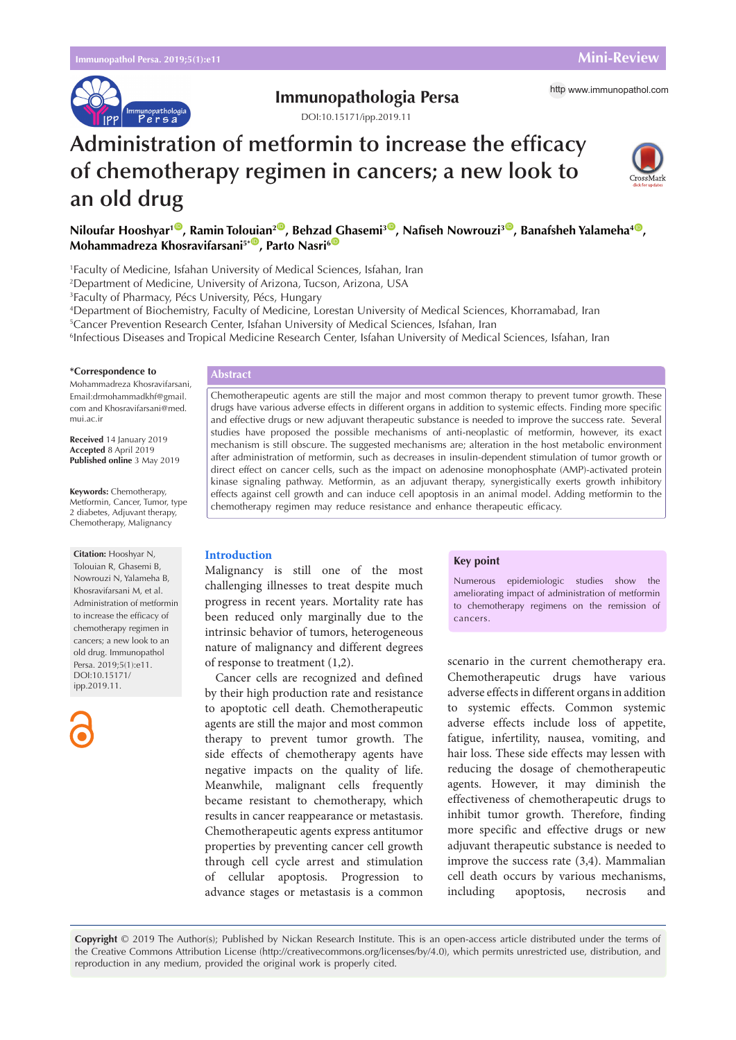

# **Immunopathologia Persa** http [www.immunopathol.com](http://www.immunopathol.com)

DOI[:10.15171/ipp.2019.11](https://doi.org/10.15171/ipp.2019.11)



# **Administration of metformin to increase the efficacy of chemotherapy regimen in cancers; a new look to an old drug**



1 Faculty of Medicine, Isfahan University of Medical Sciences, Isfahan, Iran

2 Department of Medicine, University of Arizona, Tucson, Arizona, USA

3 Faculty of Pharmacy, Pécs University, Pécs, Hungary

4 Department of Biochemistry, Faculty of Medicine, Lorestan University of Medical Sciences, Khorramabad, Iran

5 Cancer Prevention Research Center, Isfahan University of Medical Sciences, Isfahan, Iran

6 Infectious Diseases and Tropical Medicine Research Center, Isfahan University of Medical Sciences, Isfahan, Iran

#### **\*Correspondence to**

Mohammadreza Khosravifarsani, Email:drmohammadkhf@gmail. com and Khosravifarsani@med. mui.ac.ir

**Received** 14 January 2019 **Accepted** 8 April 2019 **Published online** 3 May 2019

**Keywords:** Chemotherapy, Metformin, Cancer, Tumor, type 2 diabetes, Adjuvant therapy, Chemotherapy, Malignancy

**Citation:** Hooshyar N, Tolouian R, Ghasemi B, Nowrouzi N, Yalameha B, Khosravifarsani M, et al. Administration of metformin to increase the efficacy of chemotherapy regimen in cancers; a new look to an old drug. Immunopathol Persa. 2019;5(1):e11. DOI:10.15171/ ipp.2019.11.



# **Abstract**

Chemotherapeutic agents are still the major and most common therapy to prevent tumor growth. These drugs have various adverse effects in different organs in addition to systemic effects. Finding more specific and effective drugs or new adjuvant therapeutic substance is needed to improve the success rate. Several studies have proposed the possible mechanisms of anti-neoplastic of metformin, however, its exact mechanism is still obscure. The suggested mechanisms are; alteration in the host metabolic environment after administration of metformin, such as decreases in insulin-dependent stimulation of tumor growth or direct effect on cancer cells, such as the impact on adenosine monophosphate (AMP)-activated protein kinase signaling pathway. Metformin, as an adjuvant therapy, synergistically exerts growth inhibitory effects against cell growth and can induce cell apoptosis in an animal model. Adding metformin to the chemotherapy regimen may reduce resistance and enhance therapeutic efficacy.

# **Introduction**

Malignancy is still one of the most challenging illnesses to treat despite much progress in recent years. Mortality rate has been reduced only marginally due to the intrinsic behavior of tumors, heterogeneous nature of malignancy and different degrees of response to treatment (1,2).

Cancer cells are recognized and defined by their high production rate and resistance to apoptotic cell death. Chemotherapeutic agents are still the major and most common therapy to prevent tumor growth. The side effects of chemotherapy agents have negative impacts on the quality of life. Meanwhile, malignant cells frequently became resistant to chemotherapy, which results in cancer reappearance or metastasis. Chemotherapeutic agents express antitumor properties by preventing cancer cell growth through cell cycle arrest and stimulation of cellular apoptosis. Progression to advance stages or metastasis is a common

#### **Key point**

Numerous epidemiologic studies show the ameliorating impact of administration of metformin to chemotherapy regimens on the remission of cancers.

scenario in the current chemotherapy era. Chemotherapeutic drugs have various adverse effects in different organs in addition to systemic effects. Common systemic adverse effects include loss of appetite, fatigue, infertility, nausea, vomiting, and hair loss. These side effects may lessen with reducing the dosage of chemotherapeutic agents. However, it may diminish the effectiveness of chemotherapeutic drugs to inhibit tumor growth. Therefore, finding more specific and effective drugs or new adjuvant therapeutic substance is needed to improve the success rate (3,4). Mammalian cell death occurs by various mechanisms, including apoptosis, necrosis and

**Copyright** © 2019 The Author(s); Published by Nickan Research Institute. This is an open-access article distributed under the terms of the Creative Commons Attribution License (http://creativecommons.org/licenses/by/4.0), which permits unrestricted use, distribution, and reproduction in any medium, provided the original work is properly cited.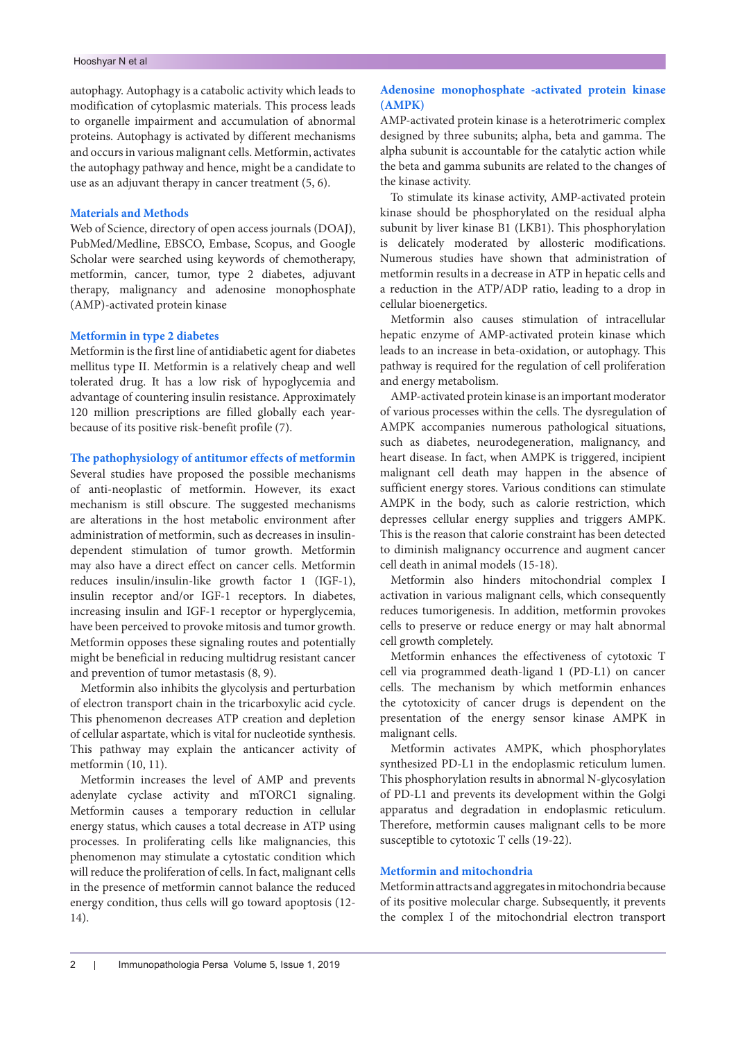autophagy. Autophagy is a catabolic activity which leads to modification of cytoplasmic materials. This process leads to organelle impairment and accumulation of abnormal proteins. Autophagy is activated by different mechanisms and occurs in various malignant cells. Metformin, activates the autophagy pathway and hence, might be a candidate to use as an adjuvant therapy in cancer treatment (5, 6).

# **Materials and Methods**

Web of Science, directory of open access journals (DOAJ), PubMed/Medline, EBSCO, Embase, Scopus, and Google Scholar were searched using keywords of chemotherapy, metformin, cancer, tumor, type 2 diabetes, adjuvant therapy, malignancy and adenosine monophosphate (AMP)-activated protein kinase

## **Metformin in type 2 diabetes**

Metformin is the first line of antidiabetic agent for diabetes mellitus type II. Metformin is a relatively cheap and well tolerated drug. It has a low risk of hypoglycemia and advantage of countering insulin resistance. Approximately 120 million prescriptions are filled globally each yearbecause of its positive risk-benefit profile (7).

# **The pathophysiology of antitumor effects of metformin**

Several studies have proposed the possible mechanisms of anti-neoplastic of metformin. However, its exact mechanism is still obscure. The suggested mechanisms are alterations in the host metabolic environment after administration of metformin, such as decreases in insulindependent stimulation of tumor growth. Metformin may also have a direct effect on cancer cells. Metformin reduces insulin/insulin-like growth factor 1 (IGF-1), insulin receptor and/or IGF-1 receptors. In diabetes, increasing insulin and IGF-1 receptor or hyperglycemia, have been perceived to provoke mitosis and tumor growth. Metformin opposes these signaling routes and potentially might be beneficial in reducing multidrug resistant cancer and prevention of tumor metastasis (8, 9).

Metformin also inhibits the glycolysis and perturbation of electron transport chain in the tricarboxylic acid cycle. This phenomenon decreases ATP creation and depletion of cellular aspartate, which is vital for nucleotide synthesis. This pathway may explain the anticancer activity of metformin (10, 11).

Metformin increases the level of AMP and prevents adenylate cyclase activity and mTORC1 signaling. Metformin causes a temporary reduction in cellular energy status, which causes a total decrease in ATP using processes. In proliferating cells like malignancies, this phenomenon may stimulate a cytostatic condition which will reduce the proliferation of cells. In fact, malignant cells in the presence of metformin cannot balance the reduced energy condition, thus cells will go toward apoptosis (12- 14).

# **Adenosine monophosphate -activated protein kinase (AMPK)**

AMP-activated protein kinase is a heterotrimeric complex designed by three subunits; alpha, beta and gamma. The alpha subunit is accountable for the catalytic action while the beta and gamma subunits are related to the changes of the kinase activity.

To stimulate its kinase activity, AMP-activated protein kinase should be phosphorylated on the residual alpha subunit by liver kinase B1 (LKB1). This phosphorylation is delicately moderated by allosteric modifications. Numerous studies have shown that administration of metformin results in a decrease in ATP in hepatic cells and a reduction in the ATP/ADP ratio, leading to a drop in cellular bioenergetics.

Metformin also causes stimulation of intracellular hepatic enzyme of AMP-activated protein kinase which leads to an increase in beta-oxidation, or autophagy. This pathway is required for the regulation of cell proliferation and energy metabolism.

AMP-activated protein kinase is an important moderator of various processes within the cells. The dysregulation of AMPK accompanies numerous pathological situations, such as diabetes, neurodegeneration, malignancy, and heart disease. In fact, when AMPK is triggered, incipient malignant cell death may happen in the absence of sufficient energy stores. Various conditions can stimulate AMPK in the body, such as calorie restriction, which depresses cellular energy supplies and triggers AMPK. This is the reason that calorie constraint has been detected to diminish malignancy occurrence and augment cancer cell death in animal models (15-18).

Metformin also hinders mitochondrial complex I activation in various malignant cells, which consequently reduces tumorigenesis. In addition, metformin provokes cells to preserve or reduce energy or may halt abnormal cell growth completely.

Metformin enhances the effectiveness of cytotoxic T cell via programmed death-ligand 1 (PD-L1) on cancer cells. The mechanism by which metformin enhances the cytotoxicity of cancer drugs is dependent on the presentation of the energy sensor kinase AMPK in malignant cells.

Metformin activates AMPK, which phosphorylates synthesized PD-L1 in the endoplasmic reticulum lumen. This phosphorylation results in abnormal N-glycosylation of PD-L1 and prevents its development within the Golgi apparatus and degradation in endoplasmic reticulum. Therefore, metformin causes malignant cells to be more susceptible to cytotoxic T cells (19-22).

# **Metformin and mitochondria**

Metformin attracts and aggregates in mitochondria because of its positive molecular charge. Subsequently, it prevents the complex I of the mitochondrial electron transport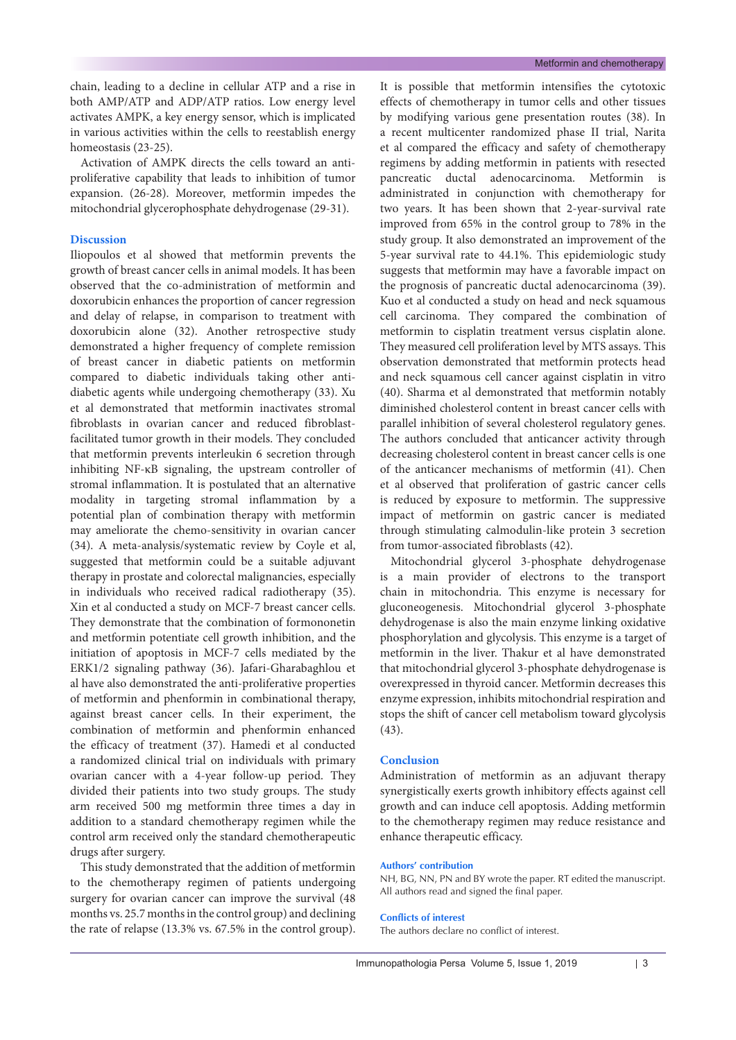chain, leading to a decline in cellular ATP and a rise in both AMP/ATP and ADP/ATP ratios. Low energy level activates AMPK, a key energy sensor, which is implicated in various activities within the cells to reestablish energy homeostasis (23-25).

Activation of AMPK directs the cells toward an antiproliferative capability that leads to inhibition of tumor expansion. (26-28). Moreover, metformin impedes the mitochondrial glycerophosphate dehydrogenase (29-31).

# **Discussion**

Iliopoulos et al showed that metformin prevents the growth of breast cancer cells in animal models. It has been observed that the co-administration of metformin and doxorubicin enhances the proportion of cancer regression and delay of relapse, in comparison to treatment with doxorubicin alone (32). Another retrospective study demonstrated a higher frequency of complete remission of breast cancer in diabetic patients on metformin compared to diabetic individuals taking other antidiabetic agents while undergoing chemotherapy (33). Xu et al demonstrated that metformin inactivates stromal fibroblasts in ovarian cancer and reduced fibroblastfacilitated tumor growth in their models. They concluded that metformin prevents interleukin 6 secretion through inhibiting NF-κB signaling, the upstream controller of stromal inflammation. It is postulated that an alternative modality in targeting stromal inflammation by a potential plan of combination therapy with metformin may ameliorate the chemo-sensitivity in ovarian cancer (34). A meta-analysis/systematic review by Coyle et al, suggested that metformin could be a suitable adjuvant therapy in prostate and colorectal malignancies, especially in individuals who received radical radiotherapy (35). Xin et al conducted a study on MCF-7 breast cancer cells. They demonstrate that the combination of formononetin and metformin potentiate cell growth inhibition, and the initiation of apoptosis in MCF-7 cells mediated by the ERK1/2 signaling pathway (36). Jafari-Gharabaghlou et al have also demonstrated the anti-proliferative properties of metformin and phenformin in combinational therapy, against breast cancer cells. In their experiment, the combination of metformin and phenformin enhanced the efficacy of treatment (37). Hamedi et al conducted a randomized clinical trial on individuals with primary ovarian cancer with a 4-year follow-up period. They divided their patients into two study groups. The study arm received 500 mg metformin three times a day in addition to a standard chemotherapy regimen while the control arm received only the standard chemotherapeutic drugs after surgery.

This study demonstrated that the addition of metformin to the chemotherapy regimen of patients undergoing surgery for ovarian cancer can improve the survival (48 months vs. 25.7 months in the control group) and declining the rate of relapse (13.3% vs. 67.5% in the control group). It is possible that metformin intensifies the cytotoxic effects of chemotherapy in tumor cells and other tissues by modifying various gene presentation routes (38). In a recent multicenter randomized phase II trial, Narita et al compared the efficacy and safety of chemotherapy regimens by adding metformin in patients with resected pancreatic ductal adenocarcinoma. Metformin is administrated in conjunction with chemotherapy for two years. It has been shown that 2-year-survival rate improved from 65% in the control group to 78% in the study group. It also demonstrated an improvement of the 5-year survival rate to 44.1%. This epidemiologic study suggests that metformin may have a favorable impact on the prognosis of pancreatic ductal adenocarcinoma (39). Kuo et al conducted a study on head and neck squamous cell carcinoma. They compared the combination of metformin to cisplatin treatment versus cisplatin alone. They measured cell proliferation level by MTS assays. This observation demonstrated that metformin protects head and neck squamous cell cancer against cisplatin in vitro (40). Sharma et al demonstrated that metformin notably diminished cholesterol content in breast cancer cells with parallel inhibition of several cholesterol regulatory genes. The authors concluded that anticancer activity through decreasing cholesterol content in breast cancer cells is one of the anticancer mechanisms of metformin (41). Chen et al observed that proliferation of gastric cancer cells is reduced by exposure to metformin. The suppressive impact of metformin on gastric cancer is mediated through stimulating calmodulin-like protein 3 secretion from tumor-associated fibroblasts (42).

Mitochondrial glycerol 3-phosphate dehydrogenase is a main provider of electrons to the transport chain in mitochondria. This enzyme is necessary for gluconeogenesis. Mitochondrial glycerol 3-phosphate dehydrogenase is also the main enzyme linking oxidative phosphorylation and glycolysis. This enzyme is a target of metformin in the liver. Thakur et al have demonstrated that mitochondrial glycerol 3-phosphate dehydrogenase is overexpressed in thyroid cancer. Metformin decreases this enzyme expression, inhibits mitochondrial respiration and stops the shift of cancer cell metabolism toward glycolysis (43).

## **Conclusion**

Administration of metformin as an adjuvant therapy synergistically exerts growth inhibitory effects against cell growth and can induce cell apoptosis. Adding metformin to the chemotherapy regimen may reduce resistance and enhance therapeutic efficacy.

#### **Authors' contribution**

NH, BG, NN, PN and BY wrote the paper. RT edited the manuscript. All authors read and signed the final paper.

#### **Conflicts of interest**

The authors declare no conflict of interest.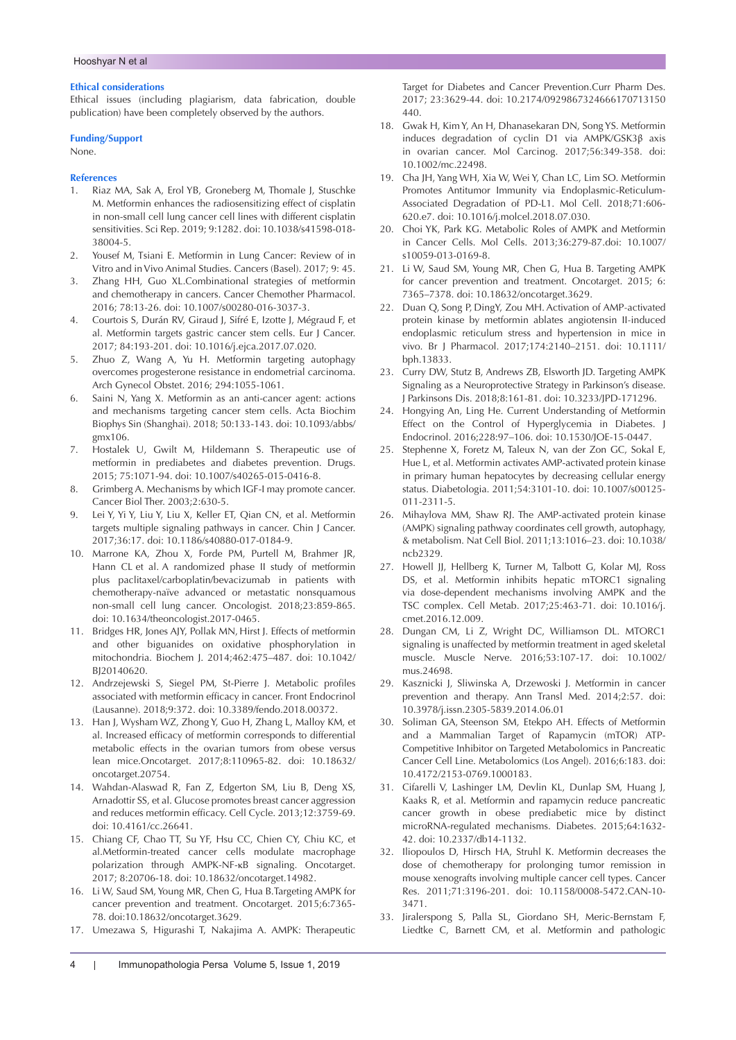### **Ethical considerations**

Ethical issues (including plagiarism, data fabrication, double publication) have been completely observed by the authors.

#### **Funding/Support**

None.

#### **References**

- 1. Riaz MA, Sak A, Erol YB, Groneberg M, Thomale J, Stuschke M. Metformin enhances the radiosensitizing effect of cisplatin in non-small cell lung cancer cell lines with different cisplatin sensitivities. Sci Rep. 2019; 9:1282. doi: 10.1038/s41598-018- 38004-5.
- 2. Yousef M, Tsiani E. Metformin in Lung Cancer: Review of in Vitro and in Vivo Animal Studies. Cancers (Basel). 2017; 9: 45.
- 3. Zhang HH, Guo XL.Combinational strategies of metformin and chemotherapy in cancers. Cancer Chemother Pharmacol. 2016; 78:13-26. doi: 10.1007/s00280-016-3037-3.
- 4. Courtois S, Durán RV, Giraud J, Sifré E, Izotte J, Mégraud F, et al. Metformin targets gastric cancer stem cells. Eur J Cancer. 2017; 84:193-201. doi: 10.1016/j.ejca.2017.07.020.
- 5. Zhuo Z, Wang A, Yu H. Metformin targeting autophagy overcomes progesterone resistance in endometrial carcinoma. Arch Gynecol Obstet. 2016; 294:1055-1061.
- 6. Saini N, Yang X. Metformin as an anti-cancer agent: actions and mechanisms targeting cancer stem cells. Acta Biochim Biophys Sin (Shanghai). 2018; 50:133-143. doi: 10.1093/abbs/ gmx106.
- 7. Hostalek U, Gwilt M, Hildemann S. Therapeutic use of metformin in prediabetes and diabetes prevention. Drugs. 2015; 75:1071-94. doi: 10.1007/s40265-015-0416-8.
- 8. Grimberg A. Mechanisms by which IGF-I may promote cancer. Cancer Biol Ther. 2003;2:630-5.
- 9. Lei Y, Yi Y, Liu Y, Liu X, Keller ET, Qian CN, et al. Metformin targets multiple signaling pathways in cancer. Chin J Cancer. 2017;36:17. doi: 10.1186/s40880-017-0184-9.
- 10. Marrone KA, Zhou X, Forde PM, Purtell M, Brahmer JR, Hann CL et al. A randomized phase II study of metformin plus paclitaxel/carboplatin/bevacizumab in patients with chemotherapy-naïve advanced or metastatic nonsquamous non-small cell lung cancer. Oncologist. 2018;23:859-865. doi: 10.1634/theoncologist.2017-0465.
- 11. Bridges HR, Jones AJY, Pollak MN, Hirst J. Effects of metformin and other biguanides on oxidative phosphorylation in mitochondria. Biochem J. 2014;462:475–487. doi: 10.1042/ BJ20140620.
- 12. Andrzejewski S, Siegel PM, St-Pierre J. Metabolic profiles associated with metformin efficacy in cancer. Front Endocrinol (Lausanne). 2018;9:372. doi: 10.3389/fendo.2018.00372.
- 13. Han J, Wysham WZ, Zhong Y, Guo H, Zhang L, Malloy KM, et al. Increased efficacy of metformin corresponds to differential metabolic effects in the ovarian tumors from obese versus lean mice.Oncotarget. 2017;8:110965-82. doi: 10.18632/ oncotarget.20754.
- 14. Wahdan-Alaswad R, Fan Z, Edgerton SM, Liu B, Deng XS, Arnadottir SS, et al. Glucose promotes breast cancer aggression and reduces metformin efficacy. Cell Cycle. 2013;12:3759-69. doi: 10.4161/cc.26641.
- 15. Chiang CF, Chao TT, Su YF, Hsu CC, Chien CY, Chiu KC, et al.Metformin-treated cancer cells modulate macrophage polarization through AMPK-NF-κB signaling. Oncotarget. 2017; 8:20706-18. doi: 10.18632/oncotarget.14982.
- 16. Li W, Saud SM, Young MR, Chen G, Hua B.Targeting AMPK for cancer prevention and treatment. Oncotarget. 2015;6:7365- 78. doi:10.18632/oncotarget.3629.
- 17. Umezawa S, Higurashi T, Nakajima A. AMPK: Therapeutic

Target for Diabetes and Cancer Prevention.Curr Pharm Des. 2017; 23:3629-44. doi: 10.2174/0929867324666170713150 440.

- 18. Gwak H, Kim Y, An H, Dhanasekaran DN, Song YS. Metformin induces degradation of cyclin D1 via AMPK/GSK3β axis in ovarian cancer. Mol Carcinog. 2017;56:349-358. doi: 10.1002/mc.22498.
- 19. Cha JH, Yang WH, Xia W, Wei Y, Chan LC, Lim SO. Metformin Promotes Antitumor Immunity via Endoplasmic-Reticulum-Associated Degradation of PD-L1. Mol Cell. 2018;71:606- 620.e7. doi: 10.1016/j.molcel.2018.07.030.
- 20. Choi YK, Park KG. Metabolic Roles of AMPK and Metformin in Cancer Cells. Mol Cells. 2013;36:279-87.doi: 10.1007/ s10059-013-0169-8.
- 21. Li W, Saud SM, Young MR, Chen G, Hua B. Targeting AMPK for cancer prevention and treatment. Oncotarget. 2015; 6: 7365–7378. doi: 10.18632/oncotarget.3629.
- 22. Duan Q, Song P, DingY, Zou MH. Activation of AMP‐activated protein kinase by metformin ablates angiotensin II‐induced endoplasmic reticulum stress and hypertension in mice in vivo. Br J Pharmacol. 2017;174:2140–2151. doi: 10.1111/ bph.13833.
- 23. Curry DW, Stutz B, Andrews ZB, Elsworth JD. Targeting AMPK Signaling as a Neuroprotective Strategy in Parkinson's disease. J Parkinsons Dis. 2018;8:161-81. doi: 10.3233/JPD-171296.
- 24. Hongying An, Ling He. Current Understanding of Metformin Effect on the Control of Hyperglycemia in Diabetes. J Endocrinol. 2016;228:97–106. doi: 10.1530/JOE-15-0447.
- 25. Stephenne X, Foretz M, Taleux N, van der Zon GC, Sokal E, Hue L, et al. Metformin activates AMP-activated protein kinase in primary human hepatocytes by decreasing cellular energy status. Diabetologia. 2011;54:3101-10. doi: 10.1007/s00125- 011-2311-5.
- 26. Mihaylova MM, Shaw RJ. The AMP-activated protein kinase (AMPK) signaling pathway coordinates cell growth, autophagy, & metabolism. Nat Cell Biol. 2011;13:1016–23. doi: 10.1038/ ncb2329.
- 27. Howell JJ, Hellberg K, Turner M, Talbott G, Kolar MJ, Ross DS, et al. Metformin inhibits hepatic mTORC1 signaling via dose-dependent mechanisms involving AMPK and the TSC complex. Cell Metab. 2017;25:463-71. doi: 10.1016/j. cmet.2016.12.009.
- 28. Dungan CM, Li Z, Wright DC, Williamson DL. MTORC1 signaling is unaffected by metformin treatment in aged skeletal muscle. Muscle Nerve. 2016;53:107-17. doi: 10.1002/ mus.24698.
- 29. Kasznicki J, Sliwinska A, Drzewoski J. Metformin in cancer prevention and therapy. Ann Transl Med. 2014;2:57. doi: 10.3978/j.issn.2305-5839.2014.06.01
- 30. Soliman GA, Steenson SM, Etekpo AH. Effects of Metformin and a Mammalian Target of Rapamycin (mTOR) ATP-Competitive Inhibitor on Targeted Metabolomics in Pancreatic Cancer Cell Line. Metabolomics (Los Angel). 2016;6:183. doi: 10.4172/2153-0769.1000183.
- 31. Cifarelli V, Lashinger LM, Devlin KL, Dunlap SM, Huang J, Kaaks R, et al. Metformin and rapamycin reduce pancreatic cancer growth in obese prediabetic mice by distinct microRNA-regulated mechanisms. Diabetes. 2015;64:1632- 42. doi: 10.2337/db14-1132.
- 32. Iliopoulos D, Hirsch HA, Struhl K. Metformin decreases the dose of chemotherapy for prolonging tumor remission in mouse xenografts involving multiple cancer cell types. Cancer Res. 2011;71:3196-201. doi: 10.1158/0008-5472.CAN-10- 3471.
- 33. Jiralerspong S, Palla SL, Giordano SH, Meric-Bernstam F, Liedtke C, Barnett CM, et al. Metformin and pathologic